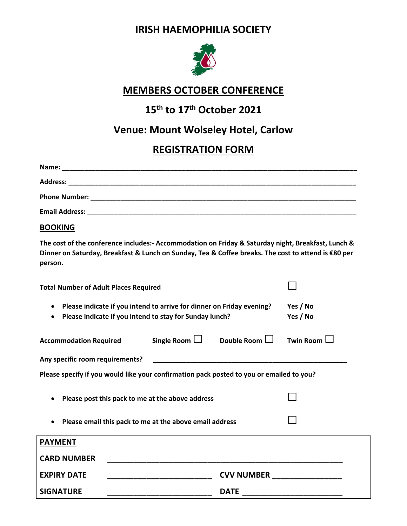#### **IRISH HAEMOPHILIA SOCIETY**



#### **MEMBERS OCTOBER CONFERENCE**

# **15th to 17th October 2021**

## **Venue: Mount Wolseley Hotel, Carlow**

### **REGISTRATION FORM**

| Name:                 |                                              |  |  |
|-----------------------|----------------------------------------------|--|--|
| <b>Address:</b>       |                                              |  |  |
| <b>Phone Number:</b>  |                                              |  |  |
| <b>Email Address:</b> | <u> 1980 - Jan Salaman Salaman (j. 1980)</u> |  |  |
|                       |                                              |  |  |

#### **BOOKING**

**The cost of the conference includes:‐ Accommodation on Friday & Saturday night, Breakfast, Lunch &** Dinner on Saturday, Breakfast & Lunch on Sunday, Tea & Coffee breaks. The cost to attend is €80 per **person.**

| <b>Total Number of Adult Places Required</b>                                             |                                                         |                                                               |             |  |  |  |
|------------------------------------------------------------------------------------------|---------------------------------------------------------|---------------------------------------------------------------|-------------|--|--|--|
| Please indicate if you intend to arrive for dinner on Friday evening?                    | Please indicate if you intend to stay for Sunday lunch? | Yes / No<br>Yes / No                                          |             |  |  |  |
| Accommodation Required Single Room $\Box$ Double Room $\Box$                             |                                                         |                                                               | Twin Room L |  |  |  |
| Any specific room requirements?                                                          |                                                         | <u> 1980 - Johann Barn, mars an t-Amerikaansk politiker (</u> |             |  |  |  |
| Please specify if you would like your confirmation pack posted to you or emailed to you? |                                                         |                                                               |             |  |  |  |
|                                                                                          | Please post this pack to me at the above address        |                                                               |             |  |  |  |
|                                                                                          | Please email this pack to me at the above email address |                                                               |             |  |  |  |
| <b>PAYMENT</b>                                                                           |                                                         |                                                               |             |  |  |  |
| <b>CARD NUMBER</b>                                                                       |                                                         |                                                               |             |  |  |  |
| <b>EXPIRY DATE</b>                                                                       |                                                         | CVV NUMBER _________________                                  |             |  |  |  |
| <b>SIGNATURE</b>                                                                         |                                                         | <b>DATE</b>                                                   |             |  |  |  |